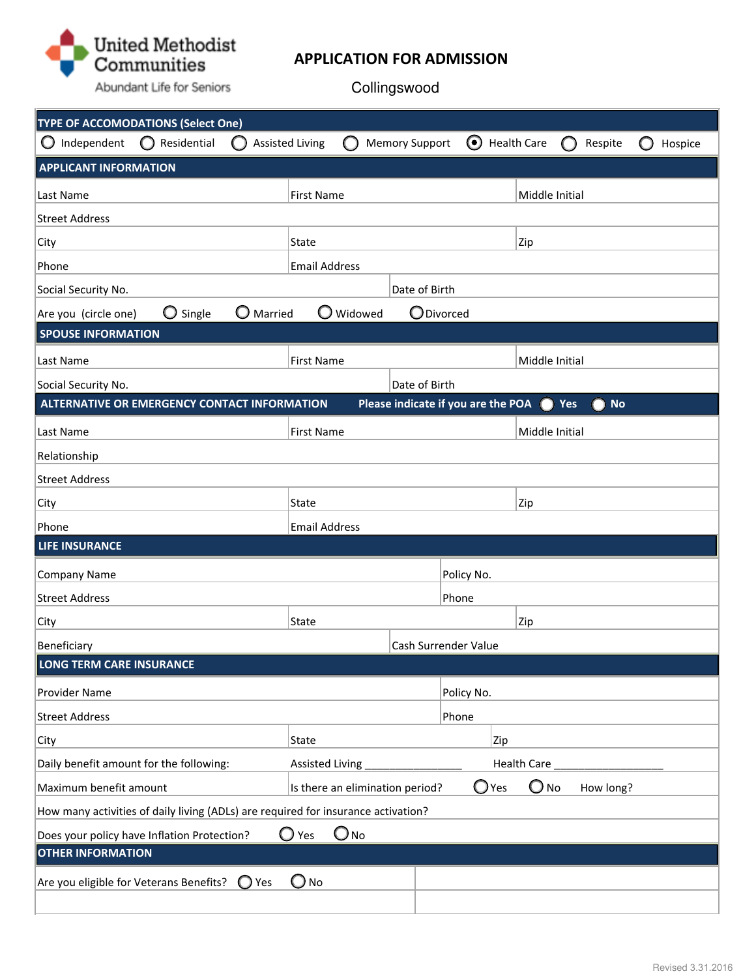

# **APPLICATION FOR ADMISSION**

Collingswood

| <b>TYPE OF ACCOMODATIONS (Select One)</b>                                         |                                              |                |                        |           |                                            |                       |                    |                |   |                |         |
|-----------------------------------------------------------------------------------|----------------------------------------------|----------------|------------------------|-----------|--------------------------------------------|-----------------------|--------------------|----------------|---|----------------|---------|
| Independent                                                                       | $\bigcirc$ Residential                       | ( )            | <b>Assisted Living</b> |           | <b>Memory Support</b>                      | $\boldsymbol{\Theta}$ | <b>Health Care</b> |                | O | Respite        | Hospice |
| <b>APPLICANT INFORMATION</b>                                                      |                                              |                |                        |           |                                            |                       |                    |                |   |                |         |
| Last Name                                                                         |                                              |                | <b>First Name</b>      |           |                                            |                       |                    | Middle Initial |   |                |         |
| <b>Street Address</b>                                                             |                                              |                |                        |           |                                            |                       |                    |                |   |                |         |
| City                                                                              |                                              |                | State                  |           |                                            |                       | Zip                |                |   |                |         |
| Phone                                                                             |                                              |                | <b>Email Address</b>   |           |                                            |                       |                    |                |   |                |         |
| Social Security No.                                                               |                                              |                |                        |           | Date of Birth                              |                       |                    |                |   |                |         |
| Are you (circle one)                                                              | O Single                                     | O Married      |                        | O Widowed | <b>O</b> Divorced                          |                       |                    |                |   |                |         |
| <b>SPOUSE INFORMATION</b>                                                         |                                              |                |                        |           |                                            |                       |                    |                |   |                |         |
| Last Name                                                                         |                                              |                | <b>First Name</b>      |           |                                            |                       |                    | Middle Initial |   |                |         |
| Social Security No.                                                               |                                              |                |                        |           | Date of Birth                              |                       |                    |                |   |                |         |
|                                                                                   | ALTERNATIVE OR EMERGENCY CONTACT INFORMATION |                |                        |           | Please indicate if you are the POA (C) Yes |                       |                    |                |   | <b>No</b><br>O |         |
| Last Name                                                                         |                                              |                | <b>First Name</b>      |           |                                            |                       |                    | Middle Initial |   |                |         |
| Relationship                                                                      |                                              |                |                        |           |                                            |                       |                    |                |   |                |         |
| <b>Street Address</b>                                                             |                                              |                |                        |           |                                            |                       |                    |                |   |                |         |
| City                                                                              |                                              |                | State                  |           |                                            |                       | Zip                |                |   |                |         |
| Phone                                                                             |                                              |                | <b>Email Address</b>   |           |                                            |                       |                    |                |   |                |         |
| <b>LIFE INSURANCE</b>                                                             |                                              |                |                        |           |                                            |                       |                    |                |   |                |         |
| Company Name                                                                      |                                              |                |                        |           |                                            | Policy No.            |                    |                |   |                |         |
| <b>Street Address</b>                                                             |                                              |                |                        |           |                                            | Phone                 |                    |                |   |                |         |
| City                                                                              |                                              |                | State                  |           |                                            |                       | Zip                |                |   |                |         |
| Beneficiary                                                                       |                                              |                |                        |           | Cash Surrender Value                       |                       |                    |                |   |                |         |
| <b>LONG TERM CARE INSURANCE</b>                                                   |                                              |                |                        |           |                                            |                       |                    |                |   |                |         |
| Provider Name                                                                     |                                              |                |                        |           |                                            | Policy No.            |                    |                |   |                |         |
| <b>Street Address</b>                                                             |                                              |                |                        |           |                                            | Phone                 |                    |                |   |                |         |
| City                                                                              |                                              |                | State                  |           |                                            |                       | Zip                |                |   |                |         |
| Daily benefit amount for the following:                                           |                                              |                | Assisted Living        |           |                                            |                       | <b>Health Care</b> |                |   |                |         |
| Maximum benefit amount                                                            |                                              |                |                        |           | Is there an elimination period?            |                       | $\bigcirc$ Yes     | $O_{NQ}$       |   | How long?      |         |
| How many activities of daily living (ADLs) are required for insurance activation? |                                              |                |                        |           |                                            |                       |                    |                |   |                |         |
| $O_{NQ}$<br>$\bigcirc$ Yes<br>Does your policy have Inflation Protection?         |                                              |                |                        |           |                                            |                       |                    |                |   |                |         |
| <b>OTHER INFORMATION</b>                                                          |                                              |                |                        |           |                                            |                       |                    |                |   |                |         |
| Are you eligible for Veterans Benefits?                                           |                                              | $\bigcirc$ Yes | $\bigcirc$ No          |           |                                            |                       |                    |                |   |                |         |
|                                                                                   |                                              |                |                        |           |                                            |                       |                    |                |   |                |         |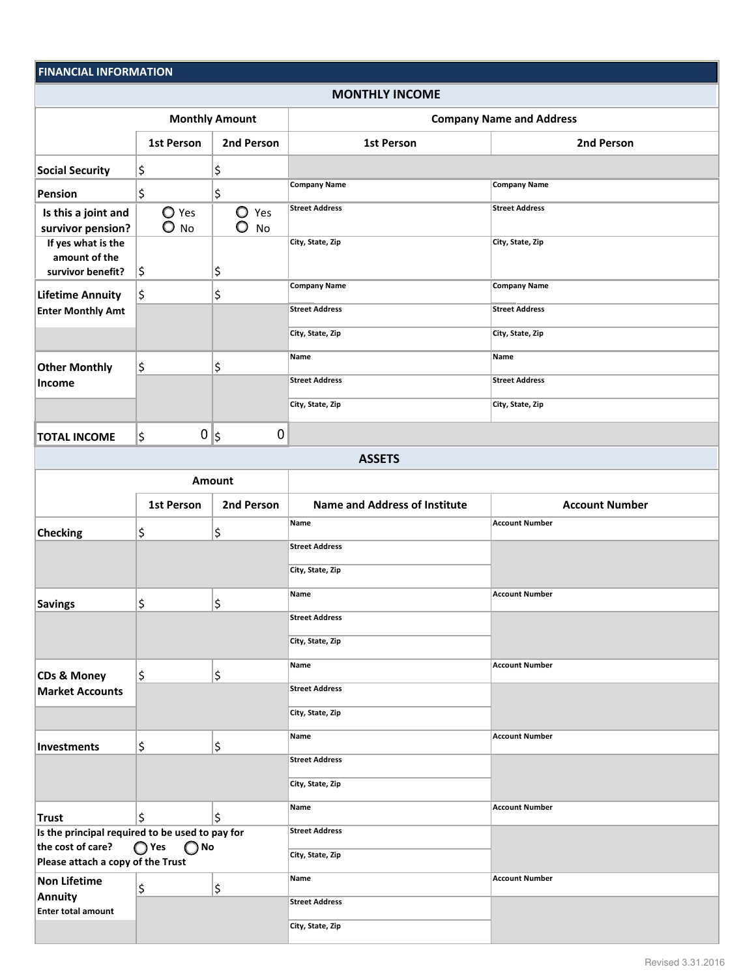## **FINANCIAL INFORMATION FINANCIAL INFORMATION**

#### **MONTHLY INCOME**

|                                                          | <b>Monthly Amount</b>           |                                | <b>Company Name and Address</b> |                       |  |  |
|----------------------------------------------------------|---------------------------------|--------------------------------|---------------------------------|-----------------------|--|--|
|                                                          | <b>1st Person</b>               | 2nd Person                     | <b>1st Person</b>               | 2nd Person            |  |  |
| <b>Social Security</b>                                   | \$                              | \$                             |                                 |                       |  |  |
| Pension                                                  | \$                              | \$                             | <b>Company Name</b>             | <b>Company Name</b>   |  |  |
| Is this a joint and<br>survivor pension?                 | $\bigcirc$ Yes<br>$\bigcirc$ No | $\circ$<br>Yes<br>$\bullet$ No | <b>Street Address</b>           | <b>Street Address</b> |  |  |
| If yes what is the<br>amount of the<br>survivor benefit? | \$                              | \$                             | City, State, Zip                | City, State, Zip      |  |  |
| <b>Lifetime Annuity</b>                                  | \$                              | \$                             | <b>Company Name</b>             | <b>Company Name</b>   |  |  |
| <b>Enter Monthly Amt</b>                                 |                                 |                                | <b>Street Address</b>           | <b>Street Address</b> |  |  |
|                                                          |                                 |                                | City, State, Zip                | City, State, Zip      |  |  |
| <b>Other Monthly</b>                                     | \$                              | \$                             | Name                            | Name                  |  |  |
| <b>Income</b>                                            |                                 |                                | <b>Street Address</b>           | <b>Street Address</b> |  |  |
|                                                          |                                 |                                | City, State, Zip                | City, State, Zip      |  |  |
| <b>TOTAL INCOME</b>                                      | 0∥\$<br>\$                      | 0                              |                                 |                       |  |  |
| <b>ASSETS</b>                                            |                                 |                                |                                 |                       |  |  |
| <b>Amount</b>                                            |                                 |                                |                                 |                       |  |  |

|                                                                                                                                              | <b>1st Person</b>   | 2nd Person            | <b>Name and Address of Institute</b> | <b>Account Number</b> |
|----------------------------------------------------------------------------------------------------------------------------------------------|---------------------|-----------------------|--------------------------------------|-----------------------|
| <b>Checking</b>                                                                                                                              | \$                  | \$                    | Name                                 | <b>Account Number</b> |
|                                                                                                                                              |                     |                       | <b>Street Address</b>                |                       |
|                                                                                                                                              |                     |                       | City, State, Zip                     |                       |
| <b>Savings</b>                                                                                                                               | \$                  | \$                    | Name                                 | <b>Account Number</b> |
|                                                                                                                                              |                     |                       | <b>Street Address</b>                |                       |
|                                                                                                                                              |                     |                       | City, State, Zip                     |                       |
| <b>CDs &amp; Money</b>                                                                                                                       | $\varsigma$         | \$                    | Name                                 | <b>Account Number</b> |
| <b>Market Accounts</b>                                                                                                                       |                     |                       | <b>Street Address</b>                |                       |
|                                                                                                                                              |                     |                       | City, State, Zip                     |                       |
| Investments                                                                                                                                  | \$                  | \$                    | Name                                 | <b>Account Number</b> |
|                                                                                                                                              |                     |                       | <b>Street Address</b>                |                       |
|                                                                                                                                              |                     |                       | City, State, Zip                     |                       |
| <b>Trust</b>                                                                                                                                 | $\ddot{\mathsf{S}}$ | \$                    | Name                                 | <b>Account Number</b> |
| Is the principal required to be used to pay for<br>$\bigcirc$ Yes<br>the cost of care?<br>$\bigcirc$ No<br>Please attach a copy of the Trust |                     | <b>Street Address</b> |                                      |                       |
|                                                                                                                                              |                     | City, State, Zip      |                                      |                       |
| <b>Non Lifetime</b>                                                                                                                          | \$                  | \$                    | Name                                 | <b>Account Number</b> |
| <b>Annuity</b><br><b>Enter total amount</b>                                                                                                  |                     |                       | <b>Street Address</b>                |                       |
|                                                                                                                                              |                     |                       | City, State, Zip                     |                       |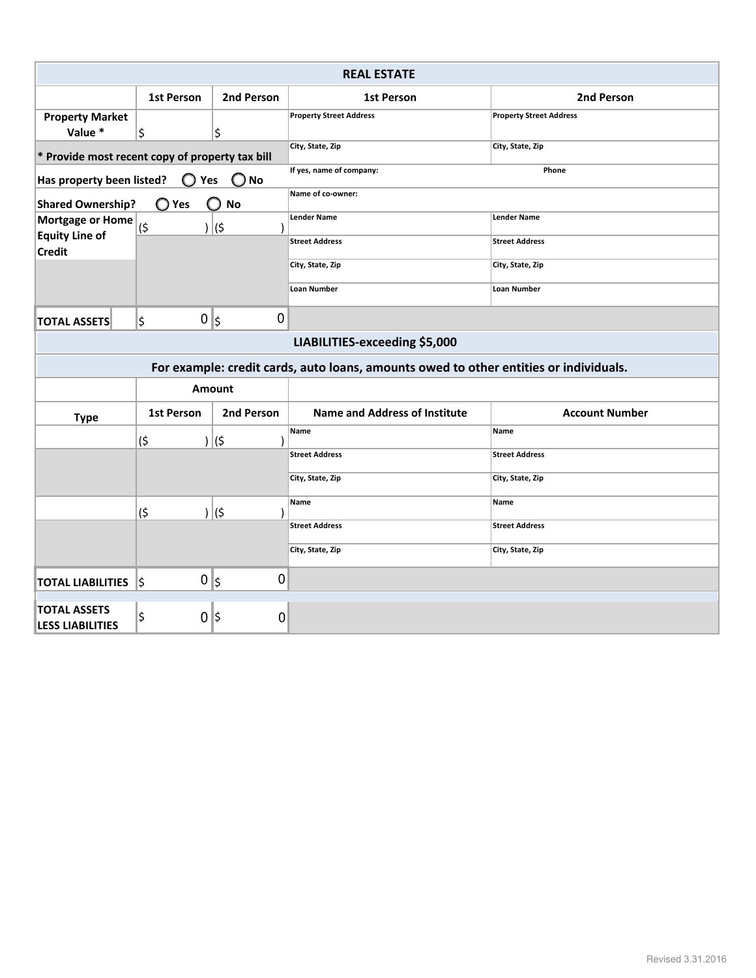| <b>REAL ESTATE</b>                                                                                |                      |             |                                                                                       |                                |  |
|---------------------------------------------------------------------------------------------------|----------------------|-------------|---------------------------------------------------------------------------------------|--------------------------------|--|
|                                                                                                   | <b>1st Person</b>    | 2nd Person  | <b>1st Person</b>                                                                     | 2nd Person                     |  |
| <b>Property Market</b><br>Value *                                                                 | \$                   | \$          | <b>Property Street Address</b>                                                        | <b>Property Street Address</b> |  |
| * Provide most recent copy of property tax bill                                                   |                      |             | City, State, Zip                                                                      | City, State, Zip               |  |
| If yes, name of company:<br>Phone<br>Has property been listed?<br>$\bigcirc$ No<br>$\bigcirc$ Yes |                      |             |                                                                                       |                                |  |
| Name of co-owner:<br>$\bigcirc$ Yes<br><b>Shared Ownership?</b><br><b>No</b>                      |                      |             |                                                                                       |                                |  |
| Mortgage or Home (S                                                                               |                      | )  (\$      | <b>Lender Name</b>                                                                    | <b>Lender Name</b>             |  |
| <b>Equity Line of</b><br><b>Credit</b>                                                            |                      |             | <b>Street Address</b>                                                                 | <b>Street Address</b>          |  |
|                                                                                                   |                      |             | City, State, Zip                                                                      | City, State, Zip               |  |
|                                                                                                   |                      |             | <b>Loan Number</b>                                                                    | <b>Loan Number</b>             |  |
| <b>TOTAL ASSETS</b>                                                                               | $0$   $\zeta$<br>l\$ | $\mathbf 0$ |                                                                                       |                                |  |
|                                                                                                   |                      |             | LIABILITIES-exceeding \$5,000                                                         |                                |  |
|                                                                                                   |                      |             | For example: credit cards, auto loans, amounts owed to other entities or individuals. |                                |  |
| <b>Amount</b>                                                                                     |                      |             |                                                                                       |                                |  |
| <b>Type</b>                                                                                       | 1st Person           | 2nd Person  | Name and Address of Institute                                                         | <b>Account Number</b>          |  |
|                                                                                                   | (\$                  | )  (\$      | Name                                                                                  | Name                           |  |
|                                                                                                   |                      |             | <b>Street Address</b>                                                                 | <b>Street Address</b>          |  |
|                                                                                                   |                      |             | City, State, Zip                                                                      | City, State, Zip               |  |
|                                                                                                   | (\$                  | $\vert$ (\$ | Name                                                                                  | Name                           |  |
|                                                                                                   |                      |             | <b>Street Address</b>                                                                 | <b>Street Address</b>          |  |
|                                                                                                   |                      |             | City, State, Zip                                                                      | City, State, Zip               |  |
| <b>TOTAL LIABILITIES</b> S                                                                        | $0$   $\zeta$        | 0           |                                                                                       |                                |  |
| <b>TOTAL ASSETS</b><br><b>LESS LIABILITIES</b>                                                    | \$<br>$0$  \$        | 0           |                                                                                       |                                |  |